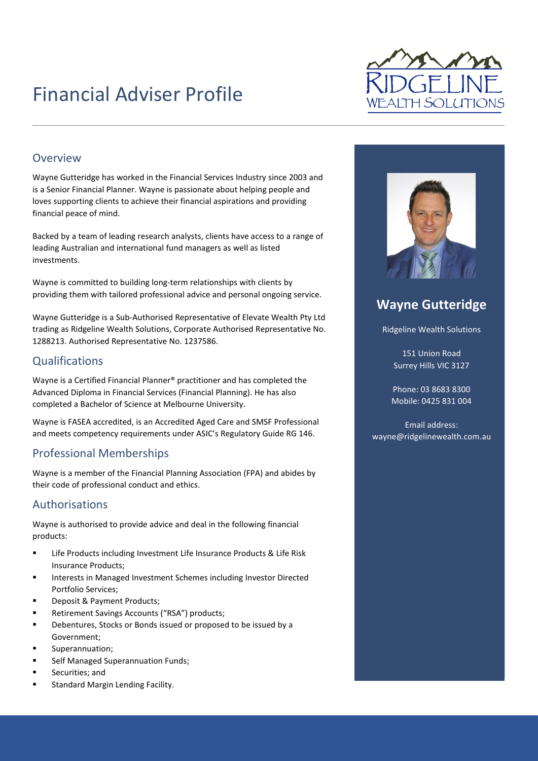# Financial Adviser Profile



#### Overview

Wayne Gutteridge has worked in the Financial Services Industry since 2003 and is a Senior Financial Planner. Wayne is passionate about helping people and loves supporting clients to achieve their financial aspirations and providing financial peace of mind.

Backed by a team of leading research analysts, clients have access to a range of leading Australian and international fund managers as well as listed investments.

Wayne is committed to building long-term relationships with clients by providing them with tailored professional advice and personal ongoing service.

Wayne Gutteridge is a Sub-Authorised Representative of Elevate Wealth Pty Ltd trading as Ridgeline Wealth Solutions, Corporate Authorised Representative No. 1288213. Authorised Representative No. 1237586.

#### Qualifications

Wayne is a Certified Financial Planner® practitioner and has completed the Advanced Diploma in Financial Services (Financial Planning). He has also completed a Bachelor of Science at Melbourne University.

Wayne is FASEA accredited, is an Accredited Aged Care and SMSF Professional and meets competency requirements under ASIC's Regulatory Guide RG 146.

#### Professional Memberships

Wayne is a member of the Financial Planning Association (FPA) and abides by their code of professional conduct and ethics.

#### Authorisations

Wayne is authorised to provide advice and deal in the following financial products:

- Life Products including Investment Life Insurance Products & Life Risk Insurance Products;
- Interests in Managed Investment Schemes including Investor Directed Portfolio Services;
- Deposit & Payment Products;
- Retirement Savings Accounts ("RSA") products;
- Debentures, Stocks or Bonds issued or proposed to be issued by a Government;
- Superannuation;
- Self Managed Superannuation Funds;
- Securities; and
- Standard Margin Lending Facility.



### **Wayne Gutteridge**

Ridgeline Wealth Solutions

151 Union Road Surrey Hills VIC 3127

Phone: 03 8683 8300 Mobile: 0425 831 004

Email address: wayne@ridgelinewealth.com.au